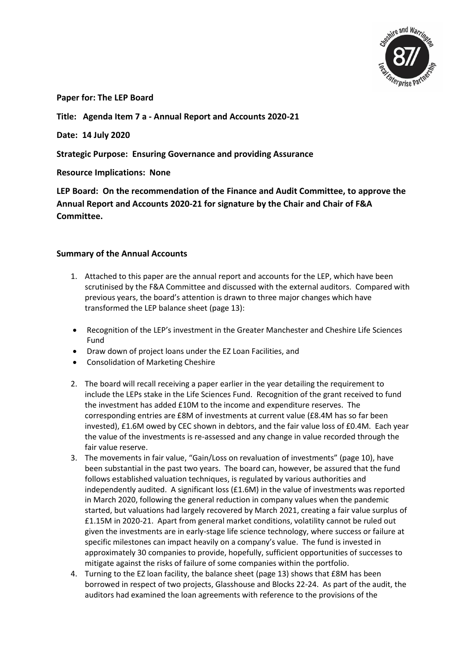

**Paper for: The LEP Board** 

**Title: Agenda Item 7 a - Annual Report and Accounts 2020-21**

**Date: 14 July 2020**

**Strategic Purpose: Ensuring Governance and providing Assurance**

**Resource Implications: None**

**LEP Board: On the recommendation of the Finance and Audit Committee, to approve the Annual Report and Accounts 2020-21 for signature by the Chair and Chair of F&A Committee.**

## **Summary of the Annual Accounts**

- 1. Attached to this paper are the annual report and accounts for the LEP, which have been scrutinised by the F&A Committee and discussed with the external auditors. Compared with previous years, the board's attention is drawn to three major changes which have transformed the LEP balance sheet (page 13):
- Recognition of the LEP's investment in the Greater Manchester and Cheshire Life Sciences Fund
- Draw down of project loans under the EZ Loan Facilities, and
- Consolidation of Marketing Cheshire
- 2. The board will recall receiving a paper earlier in the year detailing the requirement to include the LEPs stake in the Life Sciences Fund. Recognition of the grant received to fund the investment has added £10M to the income and expenditure reserves. The corresponding entries are £8M of investments at current value (£8.4M has so far been invested), £1.6M owed by CEC shown in debtors, and the fair value loss of £0.4M. Each year the value of the investments is re-assessed and any change in value recorded through the fair value reserve.
- 3. The movements in fair value, "Gain/Loss on revaluation of investments" (page 10), have been substantial in the past two years. The board can, however, be assured that the fund follows established valuation techniques, is regulated by various authorities and independently audited. A significant loss (£1.6M) in the value of investments was reported in March 2020, following the general reduction in company values when the pandemic started, but valuations had largely recovered by March 2021, creating a fair value surplus of £1.15M in 2020-21. Apart from general market conditions, volatility cannot be ruled out given the investments are in early-stage life science technology, where success or failure at specific milestones can impact heavily on a company's value. The fund is invested in approximately 30 companies to provide, hopefully, sufficient opportunities of successes to mitigate against the risks of failure of some companies within the portfolio.
- 4. Turning to the EZ loan facility, the balance sheet (page 13) shows that £8M has been borrowed in respect of two projects, Glasshouse and Blocks 22-24. As part of the audit, the auditors had examined the loan agreements with reference to the provisions of the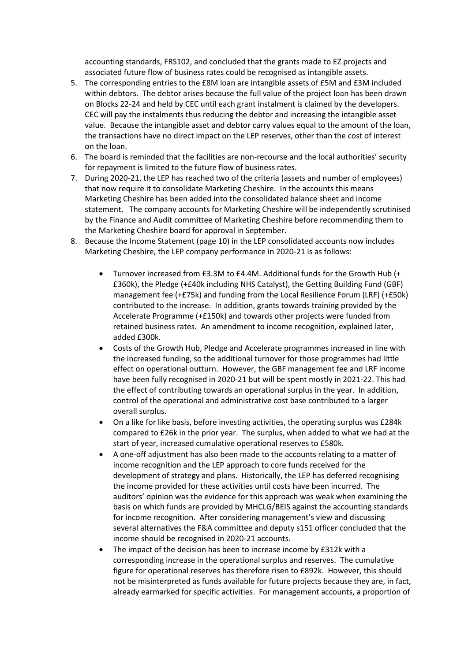accounting standards, FRS102, and concluded that the grants made to EZ projects and associated future flow of business rates could be recognised as intangible assets.

- 5. The corresponding entries to the £8M loan are intangible assets of £5M and £3M included within debtors. The debtor arises because the full value of the project loan has been drawn on Blocks 22-24 and held by CEC until each grant instalment is claimed by the developers. CEC will pay the instalments thus reducing the debtor and increasing the intangible asset value. Because the intangible asset and debtor carry values equal to the amount of the loan, the transactions have no direct impact on the LEP reserves, other than the cost of interest on the loan.
- 6. The board is reminded that the facilities are non-recourse and the local authorities' security for repayment is limited to the future flow of business rates.
- 7. During 2020-21, the LEP has reached two of the criteria (assets and number of employees) that now require it to consolidate Marketing Cheshire. In the accounts this means Marketing Cheshire has been added into the consolidated balance sheet and income statement. The company accounts for Marketing Cheshire will be independently scrutinised by the Finance and Audit committee of Marketing Cheshire before recommending them to the Marketing Cheshire board for approval in September.
- 8. Because the Income Statement (page 10) in the LEP consolidated accounts now includes Marketing Cheshire, the LEP company performance in 2020-21 is as follows:
	- Turnover increased from £3.3M to £4.4M. Additional funds for the Growth Hub (+ £360k), the Pledge (+£40k including NHS Catalyst), the Getting Building Fund (GBF) management fee (+£75k) and funding from the Local Resilience Forum (LRF) (+£50k) contributed to the increase. In addition, grants towards training provided by the Accelerate Programme (+£150k) and towards other projects were funded from retained business rates. An amendment to income recognition, explained later, added £300k.
	- Costs of the Growth Hub, Pledge and Accelerate programmes increased in line with the increased funding, so the additional turnover for those programmes had little effect on operational outturn. However, the GBF management fee and LRF income have been fully recognised in 2020-21 but will be spent mostly in 2021-22. This had the effect of contributing towards an operational surplus in the year. In addition, control of the operational and administrative cost base contributed to a larger overall surplus.
	- On a like for like basis, before investing activities, the operating surplus was £284k compared to £26k in the prior year. The surplus, when added to what we had at the start of year, increased cumulative operational reserves to £580k.
	- A one-off adjustment has also been made to the accounts relating to a matter of income recognition and the LEP approach to core funds received for the development of strategy and plans. Historically, the LEP has deferred recognising the income provided for these activities until costs have been incurred. The auditors' opinion was the evidence for this approach was weak when examining the basis on which funds are provided by MHCLG/BEIS against the accounting standards for income recognition. After considering management's view and discussing several alternatives the F&A committee and deputy s151 officer concluded that the income should be recognised in 2020-21 accounts.
	- The impact of the decision has been to increase income by £312k with a corresponding increase in the operational surplus and reserves. The cumulative figure for operational reserves has therefore risen to £892k. However, this should not be misinterpreted as funds available for future projects because they are, in fact, already earmarked for specific activities. For management accounts, a proportion of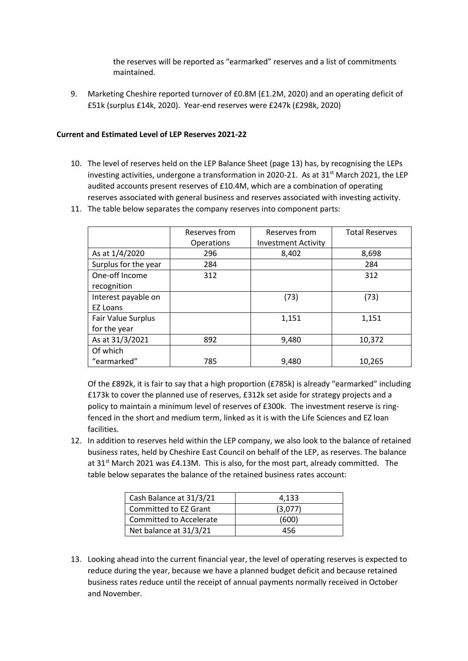the reserves will be reported as "earmarked" reserves and a list of commitments maintained.

9. Marketing Cheshire reported turnover of £0.8M (£1.2M, 2020) and an operating deficit of £51k (surplus £14k, 2020). Year-end reserves were £247k (£298k, 2020)

## **Current and Estimated Level of LEP Reserves 2021-22**

10. The level of reserves held on the LEP Balance Sheet (page 13) has, by recognising the LEPs investing activities, undergone a transformation in 2020-21. As at  $31<sup>st</sup>$  March 2021, the LEP audited accounts present reserves of £10.4M, which are a combination of operating reserves associated with general business and reserves associated with investing activity.

|                      | Reserves from | Reserves from              | <b>Total Reserves</b> |
|----------------------|---------------|----------------------------|-----------------------|
|                      | Operations    | <b>Investment Activity</b> |                       |
| As at 1/4/2020       | 296           | 8,402                      | 8,698                 |
| Surplus for the year | 284           |                            | 284                   |
| One-off Income       | 312           |                            | 312                   |
| recognition          |               |                            |                       |
| Interest payable on  |               | (73)                       | (73)                  |
| <b>EZ Loans</b>      |               |                            |                       |
| Fair Value Surplus   |               | 1,151                      | 1,151                 |
| for the year         |               |                            |                       |
| As at 31/3/2021      | 892           | 9,480                      | 10,372                |
| Of which             |               |                            |                       |
| "earmarked"          | 785           | 9,480                      | 10,265                |

11. The table below separates the company reserves into component parts:

Of the £892k, it is fair to say that a high proportion (£785k) is already "earmarked" including £173k to cover the planned use of reserves, £312k set aside for strategy projects and a policy to maintain a minimum level of reserves of £300k. The investment reserve is ringfenced in the short and medium term, linked as it is with the Life Sciences and EZ loan facilities.

12. In addition to reserves held within the LEP company, we also look to the balance of retained business rates, held by Cheshire East Council on behalf of the LEP, as reserves. The balance at  $31<sup>st</sup>$  March 2021 was £4.13M. This is also, for the most part, already committed. The table below separates the balance of the retained business rates account:

| Cash Balance at 31/3/21 | 4.133   |  |
|-------------------------|---------|--|
| Committed to EZ Grant   | (3,077) |  |
| Committed to Accelerate | (600)   |  |
| Net balance at 31/3/21  | 456     |  |

13. Looking ahead into the current financial year, the level of operating reserves is expected to reduce during the year, because we have a planned budget deficit and because retained business rates reduce until the receipt of annual payments normally received in October and November.